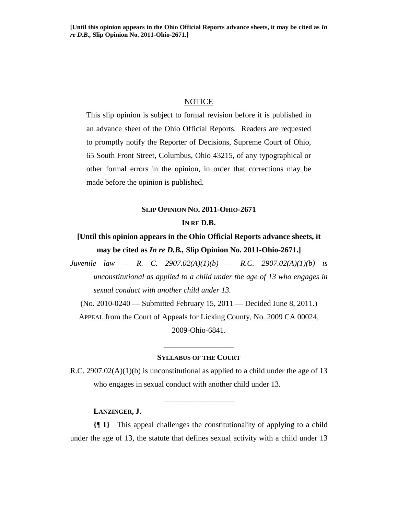#### **NOTICE**

This slip opinion is subject to formal revision before it is published in an advance sheet of the Ohio Official Reports. Readers are requested to promptly notify the Reporter of Decisions, Supreme Court of Ohio, 65 South Front Street, Columbus, Ohio 43215, of any typographical or other formal errors in the opinion, in order that corrections may be made before the opinion is published.

## **SLIP OPINION NO. 2011-OHIO-2671 IN RE D.B.**

# **[Until this opinion appears in the Ohio Official Reports advance sheets, it may be cited as** *In re D.B.,* **Slip Opinion No. 2011-Ohio-2671.]**

*Juvenile law — R. C. 2907.02(A)(1)(b) — R.C. 2907.02(A)(1)(b) is unconstitutional as applied to a child under the age of 13 who engages in sexual conduct with another child under 13.* 

(No. 2010-0240 — Submitted February 15, 2011 — Decided June 8, 2011.) APPEAL from the Court of Appeals for Licking County, No. 2009 CA 00024, 2009-Ohio-6841.

#### **SYLLABUS OF THE COURT**

\_\_\_\_\_\_\_\_\_\_\_\_\_\_\_\_\_\_

R.C. 2907.02( $A$ )(1)(b) is unconstitutional as applied to a child under the age of 13 who engages in sexual conduct with another child under 13.

\_\_\_\_\_\_\_\_\_\_\_\_\_\_\_\_\_\_

 **LANZINGER, J.**

**{¶ 1}** This appeal challenges the constitutionality of applying to a child under the age of 13, the statute that defines sexual activity with a child under 13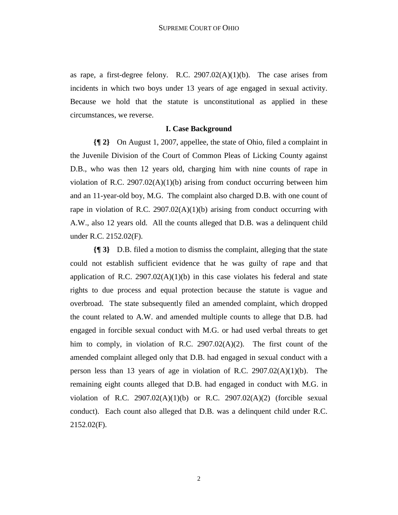as rape, a first-degree felony. R.C.  $2907.02(A)(1)(b)$ . The case arises from incidents in which two boys under 13 years of age engaged in sexual activity. Because we hold that the statute is unconstitutional as applied in these circumstances, we reverse.

#### **I. Case Background**

**{¶ 2}** On August 1, 2007, appellee, the state of Ohio, filed a complaint in the Juvenile Division of the Court of Common Pleas of Licking County against D.B., who was then 12 years old, charging him with nine counts of rape in violation of R.C. 2907.02(A)(1)(b) arising from conduct occurring between him and an 11-year-old boy, M.G. The complaint also charged D.B. with one count of rape in violation of R.C. 2907.02( $A$ )(1)(b) arising from conduct occurring with A.W., also 12 years old. All the counts alleged that D.B. was a delinquent child under R.C. 2152.02(F).

**{¶ 3}** D.B. filed a motion to dismiss the complaint, alleging that the state could not establish sufficient evidence that he was guilty of rape and that application of R.C.  $2907.02(A)(1)(b)$  in this case violates his federal and state rights to due process and equal protection because the statute is vague and overbroad. The state subsequently filed an amended complaint, which dropped the count related to A.W. and amended multiple counts to allege that D.B. had engaged in forcible sexual conduct with M.G. or had used verbal threats to get him to comply, in violation of R.C. 2907.02(A)(2). The first count of the amended complaint alleged only that D.B. had engaged in sexual conduct with a person less than 13 years of age in violation of R.C.  $2907.02(A)(1)(b)$ . The remaining eight counts alleged that D.B. had engaged in conduct with M.G. in violation of R.C.  $2907.02(A)(1)(b)$  or R.C.  $2907.02(A)(2)$  (forcible sexual conduct). Each count also alleged that D.B. was a delinquent child under R.C. 2152.02(F).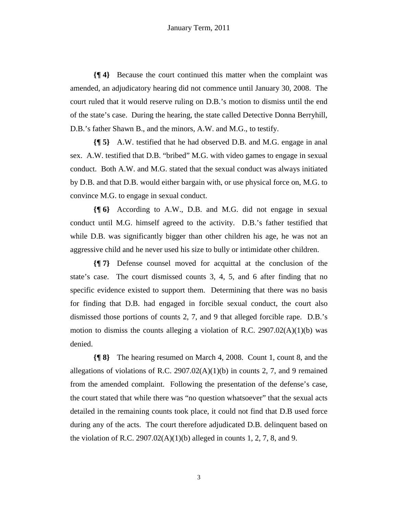**{¶ 4}** Because the court continued this matter when the complaint was amended, an adjudicatory hearing did not commence until January 30, 2008. The court ruled that it would reserve ruling on D.B.'s motion to dismiss until the end of the state's case. During the hearing, the state called Detective Donna Berryhill, D.B.'s father Shawn B., and the minors, A.W. and M.G., to testify.

**{¶ 5}** A.W. testified that he had observed D.B. and M.G. engage in anal sex. A.W. testified that D.B. "bribed" M.G. with video games to engage in sexual conduct. Both A.W. and M.G. stated that the sexual conduct was always initiated by D.B. and that D.B. would either bargain with, or use physical force on, M.G. to convince M.G. to engage in sexual conduct.

**{¶ 6}** According to A.W., D.B. and M.G. did not engage in sexual conduct until M.G. himself agreed to the activity. D.B.'s father testified that while D.B. was significantly bigger than other children his age, he was not an aggressive child and he never used his size to bully or intimidate other children.

**{¶ 7}** Defense counsel moved for acquittal at the conclusion of the state's case. The court dismissed counts 3, 4, 5, and 6 after finding that no specific evidence existed to support them. Determining that there was no basis for finding that D.B. had engaged in forcible sexual conduct, the court also dismissed those portions of counts 2, 7, and 9 that alleged forcible rape. D.B.'s motion to dismiss the counts alleging a violation of R.C. 2907.02(A)(1)(b) was denied.

**{¶ 8}** The hearing resumed on March 4, 2008. Count 1, count 8, and the allegations of violations of R.C. 2907.02(A)(1)(b) in counts 2, 7, and 9 remained from the amended complaint. Following the presentation of the defense's case, the court stated that while there was "no question whatsoever" that the sexual acts detailed in the remaining counts took place, it could not find that D.B used force during any of the acts. The court therefore adjudicated D.B. delinquent based on the violation of R.C. 2907.02(A)(1)(b) alleged in counts 1, 2, 7, 8, and 9.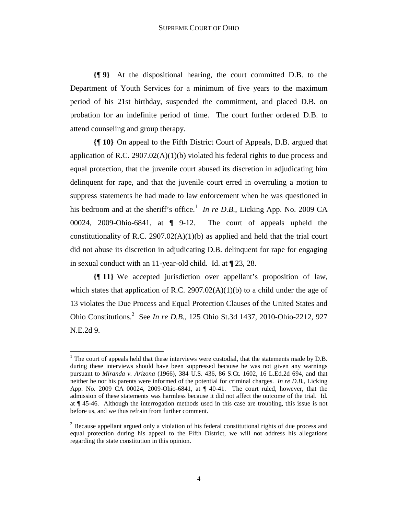**{¶ 9}** At the dispositional hearing, the court committed D.B. to the Department of Youth Services for a minimum of five years to the maximum period of his 21st birthday, suspended the commitment, and placed D.B. on probation for an indefinite period of time. The court further ordered D.B. to attend counseling and group therapy.

**{¶ 10}** On appeal to the Fifth District Court of Appeals, D.B. argued that application of R.C. 2907.02(A)(1)(b) violated his federal rights to due process and equal protection, that the juvenile court abused its discretion in adjudicating him delinquent for rape, and that the juvenile court erred in overruling a motion to suppress statements he had made to law enforcement when he was questioned in his bedroom and at the sheriff's office.<sup>1</sup> In re D.B., Licking App. No. 2009 CA 00024, 2009-Ohio-6841, at ¶ 9-12. The court of appeals upheld the constitutionality of R.C. 2907.02(A)(1)(b) as applied and held that the trial court did not abuse its discretion in adjudicating D.B. delinquent for rape for engaging in sexual conduct with an 11-year-old child. Id. at ¶ 23, 28.

**{¶ 11}** We accepted jurisdiction over appellant's proposition of law, which states that application of R.C. 2907.02(A)(1)(b) to a child under the age of 13 violates the Due Process and Equal Protection Clauses of the United States and Ohio Constitutions.2 See *In re D.B.*, 125 Ohio St.3d 1437, 2010-Ohio-2212, 927 N.E.2d 9.

<u>.</u>

 $<sup>1</sup>$  The court of appeals held that these interviews were custodial, that the statements made by D.B.</sup> during these interviews should have been suppressed because he was not given any warnings pursuant to *Miranda v. Arizona* (1966), 384 U.S. 436, 86 S.Ct. 1602, 16 L.Ed.2d 694, and that neither he nor his parents were informed of the potential for criminal charges. *In re D.B.*, Licking App. No. 2009 CA 00024, 2009-Ohio-6841, at ¶ 40-41. The court ruled, however, that the admission of these statements was harmless because it did not affect the outcome of the trial. Id. at ¶ 45-46. Although the interrogation methods used in this case are troubling, this issue is not before us, and we thus refrain from further comment.

 $2^{2}$  Because appellant argued only a violation of his federal constitutional rights of due process and equal protection during his appeal to the Fifth District, we will not address his allegations regarding the state constitution in this opinion.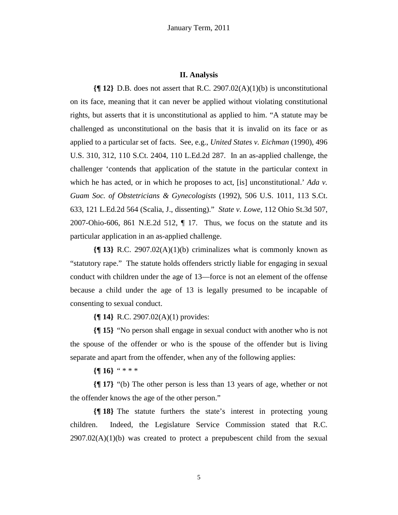#### **II. Analysis**

**{¶ 12}** D.B. does not assert that R.C. 2907.02(A)(1)(b) is unconstitutional on its face, meaning that it can never be applied without violating constitutional rights, but asserts that it is unconstitutional as applied to him. "A statute may be challenged as unconstitutional on the basis that it is invalid on its face or as applied to a particular set of facts. See, e.g., *United States v. Eichman* (1990), 496 U.S. 310, 312, 110 S.Ct. 2404, 110 L.Ed.2d 287. In an as-applied challenge, the challenger 'contends that application of the statute in the particular context in which he has acted, or in which he proposes to act, [is] unconstitutional.' *Ada v*. *Guam Soc. of Obstetricians & Gynecologists* (1992), 506 U.S. 1011, 113 S.Ct. 633, 121 L.Ed.2d 564 (Scalia, J., dissenting)." *State v. Lowe*, 112 Ohio St.3d 507, 2007-Ohio-606, 861 N.E.2d 512,  $\P$  17. Thus, we focus on the statute and its particular application in an as-applied challenge.

**{¶ 13}** R.C. 2907.02(A)(1)(b) criminalizes what is commonly known as "statutory rape." The statute holds offenders strictly liable for engaging in sexual conduct with children under the age of 13—force is not an element of the offense because a child under the age of 13 is legally presumed to be incapable of consenting to sexual conduct.

**{¶ 14}** R.C. 2907.02(A)(1) provides:

**{¶ 15}** "No person shall engage in sexual conduct with another who is not the spouse of the offender or who is the spouse of the offender but is living separate and apart from the offender, when any of the following applies:

**{¶ 16}** " \* \* \*

**{¶ 17}** "(b) The other person is less than 13 years of age, whether or not the offender knows the age of the other person."

**{¶ 18}** The statute furthers the state's interest in protecting young children. Indeed, the Legislature Service Commission stated that R.C.  $2907.02(A)(1)(b)$  was created to protect a prepubescent child from the sexual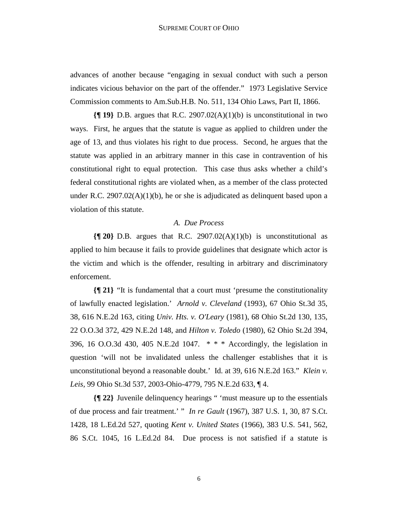advances of another because "engaging in sexual conduct with such a person indicates vicious behavior on the part of the offender." 1973 Legislative Service Commission comments to Am.Sub.H.B. No. 511, 134 Ohio Laws, Part II, 1866.

**{¶ 19}** D.B. argues that R.C. 2907.02(A)(1)(b) is unconstitutional in two ways. First, he argues that the statute is vague as applied to children under the age of 13, and thus violates his right to due process. Second, he argues that the statute was applied in an arbitrary manner in this case in contravention of his constitutional right to equal protection. This case thus asks whether a child's federal constitutional rights are violated when, as a member of the class protected under R.C. 2907.02(A)(1)(b), he or she is adjudicated as delinquent based upon a violation of this statute.

#### *A. Due Process*

**{¶ 20}** D.B. argues that R.C. 2907.02(A)(1)(b) is unconstitutional as applied to him because it fails to provide guidelines that designate which actor is the victim and which is the offender, resulting in arbitrary and discriminatory enforcement.

**{¶ 21}** "It is fundamental that a court must 'presume the constitutionality of lawfully enacted legislation.' *Arnold v. Cleveland* (1993), 67 Ohio St.3d 35, 38, 616 N.E.2d 163, citing *Univ. Hts. v. O'Leary* (1981), 68 Ohio St.2d 130, 135, 22 O.O.3d 372, 429 N.E.2d 148, and *Hilton v. Toledo* (1980), 62 Ohio St.2d 394, 396, 16 O.O.3d 430, 405 N.E.2d 1047. \* \* \* Accordingly, the legislation in question 'will not be invalidated unless the challenger establishes that it is unconstitutional beyond a reasonable doubt.' Id. at 39, 616 N.E.2d 163." *Klein v. Leis*, 99 Ohio St.3d 537, 2003-Ohio-4779, 795 N.E.2d 633, ¶ 4.

**{¶ 22}** Juvenile delinquency hearings " 'must measure up to the essentials of due process and fair treatment.' " *In re Gault* (1967), 387 U.S. 1, 30, 87 S.Ct. 1428, 18 L.Ed.2d 527, quoting *Kent v. United States* (1966), 383 U.S. 541, 562, 86 S.Ct. 1045, 16 L.Ed.2d 84. Due process is not satisfied if a statute is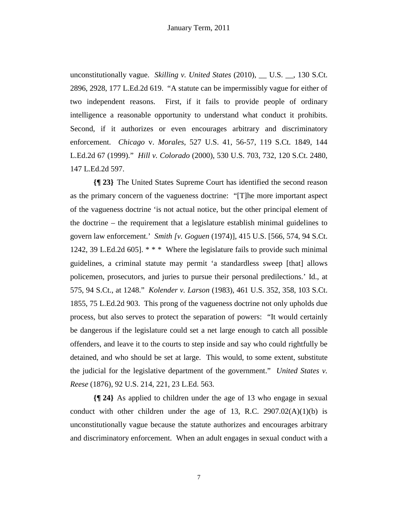unconstitutionally vague. *Skilling v. United States* (2010), \_\_ U.S. \_\_, 130 S.Ct. 2896, 2928, 177 L.Ed.2d 619. "A statute can be impermissibly vague for either of two independent reasons. First, if it fails to provide people of ordinary intelligence a reasonable opportunity to understand what conduct it prohibits. Second, if it authorizes or even encourages arbitrary and discriminatory enforcement. *Chicago* v. *Morales*, 527 U.S. 41, 56-57, 119 S.Ct. 1849, 144 L.Ed.2d 67 (1999)." *Hill v. Colorado* (2000), 530 U.S. 703, 732, 120 S.Ct. 2480, 147 L.Ed.2d 597.

**{¶ 23}** The United States Supreme Court has identified the second reason as the primary concern of the vagueness doctrine: "[T]he more important aspect of the vagueness doctrine 'is not actual notice, but the other principal element of the doctrine – the requirement that a legislature establish minimal guidelines to govern law enforcement.' *Smith [v. Goguen* (1974)], 415 U.S. [566, 574, 94 S.Ct. 1242, 39 L.Ed.2d 605]. \* \* \* Where the legislature fails to provide such minimal guidelines, a criminal statute may permit 'a standardless sweep [that] allows policemen, prosecutors, and juries to pursue their personal predilections.' Id., at 575, 94 S.Ct., at 1248." *Kolender v. Larson* (1983), 461 U.S. 352, 358, 103 S.Ct. 1855, 75 L.Ed.2d 903. This prong of the vagueness doctrine not only upholds due process, but also serves to protect the separation of powers: "It would certainly be dangerous if the legislature could set a net large enough to catch all possible offenders, and leave it to the courts to step inside and say who could rightfully be detained, and who should be set at large. This would, to some extent, substitute the judicial for the legislative department of the government." *United States v. Reese* (1876), 92 U.S. 214, 221, 23 L.Ed. 563.

**{¶ 24}** As applied to children under the age of 13 who engage in sexual conduct with other children under the age of 13, R.C.  $2907.02(A)(1)(b)$  is unconstitutionally vague because the statute authorizes and encourages arbitrary and discriminatory enforcement. When an adult engages in sexual conduct with a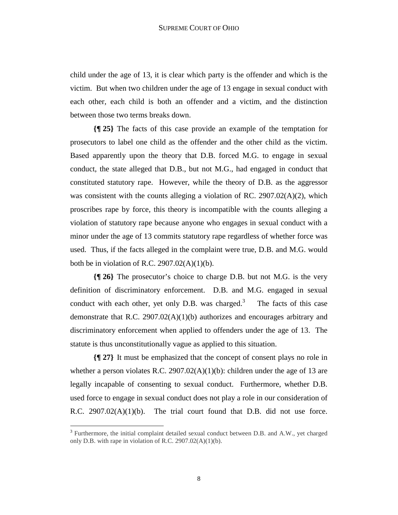child under the age of 13, it is clear which party is the offender and which is the victim. But when two children under the age of 13 engage in sexual conduct with each other, each child is both an offender and a victim, and the distinction between those two terms breaks down.

**{¶ 25}** The facts of this case provide an example of the temptation for prosecutors to label one child as the offender and the other child as the victim. Based apparently upon the theory that D.B. forced M.G. to engage in sexual conduct, the state alleged that D.B., but not M.G., had engaged in conduct that constituted statutory rape. However, while the theory of D.B. as the aggressor was consistent with the counts alleging a violation of RC. 2907.02(A)(2), which proscribes rape by force, this theory is incompatible with the counts alleging a violation of statutory rape because anyone who engages in sexual conduct with a minor under the age of 13 commits statutory rape regardless of whether force was used. Thus, if the facts alleged in the complaint were true, D.B. and M.G. would both be in violation of R.C.  $2907.02(A)(1)(b)$ .

**{¶ 26}** The prosecutor's choice to charge D.B. but not M.G. is the very definition of discriminatory enforcement. D.B. and M.G. engaged in sexual conduct with each other, yet only D.B. was charged. $3$  The facts of this case demonstrate that R.C. 2907.02(A)(1)(b) authorizes and encourages arbitrary and discriminatory enforcement when applied to offenders under the age of 13. The statute is thus unconstitutionally vague as applied to this situation.

**{¶ 27}** It must be emphasized that the concept of consent plays no role in whether a person violates R.C. 2907.02(A)(1)(b): children under the age of 13 are legally incapable of consenting to sexual conduct. Furthermore, whether D.B. used force to engage in sexual conduct does not play a role in our consideration of R.C. 2907.02(A)(1)(b). The trial court found that D.B. did not use force.

1

<sup>&</sup>lt;sup>3</sup> Furthermore, the initial complaint detailed sexual conduct between D.B. and A.W., yet charged only D.B. with rape in violation of R.C.  $2907.02(A)(1)(b)$ .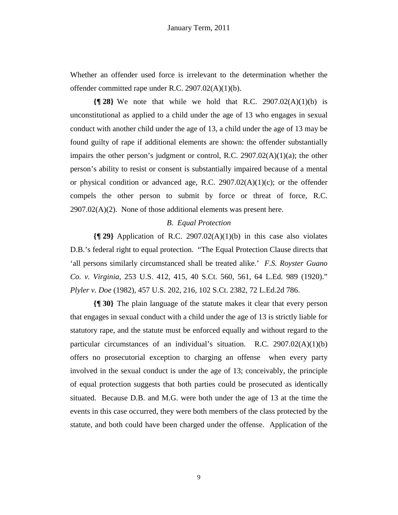Whether an offender used force is irrelevant to the determination whether the offender committed rape under R.C. 2907.02(A)(1)(b).

**{¶ 28}** We note that while we hold that R.C. 2907.02(A)(1)(b) is unconstitutional as applied to a child under the age of 13 who engages in sexual conduct with another child under the age of 13, a child under the age of 13 may be found guilty of rape if additional elements are shown: the offender substantially impairs the other person's judgment or control, R.C. 2907.02(A)(1)(a); the other person's ability to resist or consent is substantially impaired because of a mental or physical condition or advanced age, R.C.  $2907.02(A)(1)(c)$ ; or the offender compels the other person to submit by force or threat of force, R.C.  $2907.02(A)(2)$ . None of those additional elements was present here.

#### *B. Equal Protection*

**{¶ 29}** Application of R.C. 2907.02(A)(1)(b) in this case also violates D.B.'s federal right to equal protection. "The Equal Protection Clause directs that 'all persons similarly circumstanced shall be treated alike.' *F.S. Royster Guano Co. v. Virginia*, 253 U.S. 412, 415, 40 S.Ct. 560, 561, 64 L.Ed. 989 (1920)." *Plyler v. Doe* (1982), 457 U.S. 202, 216, 102 S.Ct. 2382, 72 L.Ed.2d 786.

**{¶ 30}** The plain language of the statute makes it clear that every person that engages in sexual conduct with a child under the age of 13 is strictly liable for statutory rape, and the statute must be enforced equally and without regard to the particular circumstances of an individual's situation. R.C. 2907.02(A)(1)(b) offers no prosecutorial exception to charging an offense when every party involved in the sexual conduct is under the age of 13; conceivably, the principle of equal protection suggests that both parties could be prosecuted as identically situated. Because D.B. and M.G. were both under the age of 13 at the time the events in this case occurred, they were both members of the class protected by the statute, and both could have been charged under the offense. Application of the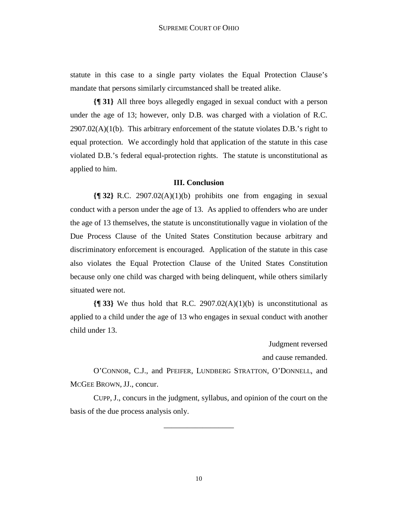statute in this case to a single party violates the Equal Protection Clause's mandate that persons similarly circumstanced shall be treated alike.

**{¶ 31}** All three boys allegedly engaged in sexual conduct with a person under the age of 13; however, only D.B. was charged with a violation of R.C.  $2907.02(A)(1(b))$ . This arbitrary enforcement of the statute violates D.B.'s right to equal protection. We accordingly hold that application of the statute in this case violated D.B.'s federal equal-protection rights. The statute is unconstitutional as applied to him.

### **III. Conclusion**

**{¶ 32}** R.C. 2907.02(A)(1)(b) prohibits one from engaging in sexual conduct with a person under the age of 13. As applied to offenders who are under the age of 13 themselves, the statute is unconstitutionally vague in violation of the Due Process Clause of the United States Constitution because arbitrary and discriminatory enforcement is encouraged. Application of the statute in this case also violates the Equal Protection Clause of the United States Constitution because only one child was charged with being delinquent, while others similarly situated were not.

**{¶ 33}** We thus hold that R.C. 2907.02(A)(1)(b) is unconstitutional as applied to a child under the age of 13 who engages in sexual conduct with another child under 13.

Judgment reversed

and cause remanded.

 O'CONNOR, C.J., and PFEIFER, LUNDBERG STRATTON, O'DONNELL, and MCGEE BROWN, JJ., concur.

 CUPP, J., concurs in the judgment, syllabus, and opinion of the court on the basis of the due process analysis only.

\_\_\_\_\_\_\_\_\_\_\_\_\_\_\_\_\_\_